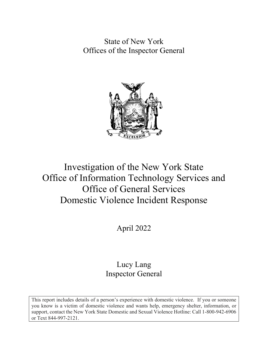State of New York Offices of the Inspector General



# Investigation of the New York State Office of Information Technology Services and Office of General Services Domestic Violence Incident Response

April 2022

## Lucy Lang Inspector General

This report includes details of a person's experience with domestic violence. If you or someone you know is a victim of domestic violence and wants help, emergency shelter, information, or support, contact the New York State Domestic and Sexual Violence Hotline: Call 1-800-942-6906 or Text 844-997-2121.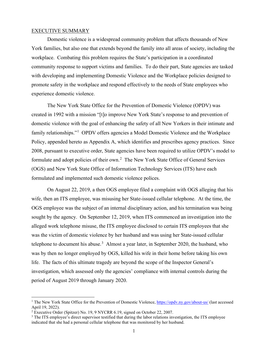#### EXECUTIVE SUMMARY

Domestic violence is a widespread community problem that affects thousands of New York families, but also one that extends beyond the family into all areas of society, including the workplace. Combating this problem requires the State's participation in a coordinated community response to support victims and families. To do their part, State agencies are tasked with developing and implementing Domestic Violence and the Workplace policies designed to promote safety in the workplace and respond effectively to the needs of State employees who experience domestic violence.

The New York State Office for the Prevention of Domestic Violence (OPDV) was created in 1992 with a mission "[t]o improve New York State's response to and prevention of domestic violence with the goal of enhancing the safety of all New Yorkers in their intimate and family relationships."<sup>[1](#page-1-0)</sup> OPDV offers agencies a Model Domestic Violence and the Workplace Policy, appended hereto as Appendix A, which identifies and prescribes agency practices. Since 2008, pursuant to executive order, State agencies have been required to utilize OPDV's model to formulate and adopt policies of their own.<sup>[2](#page-1-1)</sup> The New York State Office of General Services (OGS) and New York State Office of Information Technology Services (ITS) have each formulated and implemented such domestic violence polices.

On August 22, 2019, a then OGS employee filed a complaint with OGS alleging that his wife, then an ITS employee, was misusing her State-issued cellular telephone. At the time, the OGS employee was the subject of an internal disciplinary action, and his termination was being sought by the agency. On September 12, 2019, when ITS commenced an investigation into the alleged work telephone misuse, the ITS employee disclosed to certain ITS employees that she was the victim of domestic violence by her husband and was using her State-issued cellular telephone to document his abuse.<sup>[3](#page-1-2)</sup> Almost a year later, in September 2020, the husband, who was by then no longer employed by OGS, killed his wife in their home before taking his own life. The facts of this ultimate tragedy are beyond the scope of the Inspector General's investigation, which assessed only the agencies' compliance with internal controls during the period of August 2019 through January 2020.

<span id="page-1-0"></span><sup>&</sup>lt;sup>1</sup> The New York State Office for the Prevention of Domestic Violence,<https://opdv.ny.gov/about-us/> (last accessed April 19, 2022).

<span id="page-1-1"></span><sup>&</sup>lt;sup>2</sup> Executive Order (Spitzer) No. 19, 9 NYCRR 6.19, signed on October 22, 2007.

<span id="page-1-2"></span><sup>&</sup>lt;sup>3</sup> The ITS employee's direct supervisor testified that during the labor relations investigation, the ITS employee indicated that she had a personal cellular telephone that was monitored by her husband.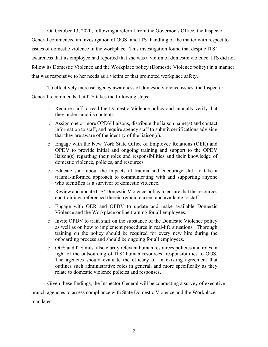On October 13, 2020, following a referral from the Governor's Office, the Inspector General commenced an investigation of OGS' and ITS' handling of the matter with respect to issues of domestic violence in the workplace. This investigation found that despite ITS' awareness that its employee had reported that she was a victim of domestic violence, ITS did not follow its Domestic Violence and the Workplace policy (Domestic Violence policy) in a manner that was responsive to her needs as a victim or that promoted workplace safety.

To effectively increase agency awareness of domestic violence issues, the Inspector General recommends that ITS takes the following steps:

- o Require staff to read the Domestic Violence policy and annually verify that they understand its contents.
- o Assign one or more OPDV liaisons, distribute the liaison name(s) and contact information to staff, and require agency staff to submit certifications advising that they are aware of the identity of the liaison(s).
- o Engage with the New York State Office of Employee Relations (OER) and OPDV to provide initial and ongoing training and support to the OPDV liaison(s) regarding their roles and responsibilities and their knowledge of domestic violence, policies, and resources.
- o Educate staff about the impacts of trauma and encourage staff to take a trauma-informed approach to communicating with and supporting anyone who identifies as a survivor of domestic violence.
- o Review and update ITS' Domestic Violence policy to ensure that the resources and trainings referenced therein remain current and available to staff.
- o Engage with OER and OPDV to update and make available Domestic Violence and the Workplace online training for all employees.
- o Invite OPDV to train staff on the substance of the Domestic Violence policy as well as on how to implement procedures in real-life situations. Thorough training on the policy should be required for every new hire during the onboarding process and should be ongoing for all employees.
- o OGS and ITS must also clarify relevant human resources policies and roles in light of the outsourcing of ITS' human resources' responsibilities to OGS. The agencies should evaluate the efficacy of an existing agreement that outlines such administrative roles in general, and more specifically as they relate to domestic violence policies and responses.

Given these findings, the Inspector General will be conducting a survey of executive branch agencies to assess compliance with State Domestic Violence and the Workplace mandates.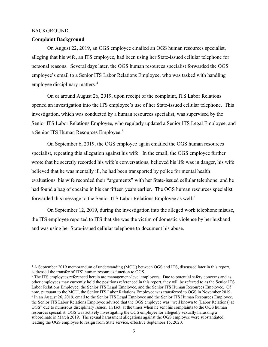#### BACKGROUND

#### **Complaint Background**

On August 22, 2019, an OGS employee emailed an OGS human resources specialist, alleging that his wife, an ITS employee, had been using her State-issued cellular telephone for personal reasons. Several days later, the OGS human resources specialist forwarded the OGS employee's email to a Senior ITS Labor Relations Employee, who was tasked with handling employee disciplinary matters.<sup>[4](#page-3-0)</sup>

On or around August 26, 2019, upon receipt of the complaint, ITS Labor Relations opened an investigation into the ITS employee's use of her State-issued cellular telephone. This investigation, which was conducted by a human resources specialist, was supervised by the Senior ITS Labor Relations Employee, who regularly updated a Senior ITS Legal Employee, and a Senior ITS Human Resources Employee.<sup>[5](#page-3-1)</sup>

On September 6, 2019, the OGS employee again emailed the OGS human resources specialist, repeating this allegation against his wife. In the email, the OGS employee further wrote that he secretly recorded his wife's conversations, believed his life was in danger, his wife believed that he was mentally ill, he had been transported by police for mental health evaluations, his wife recorded their "arguments" with her State-issued cellular telephone, and he had found a bag of cocaine in his car fifteen years earlier. The OGS human resources specialist forwarded this message to the Senior ITS Labor Relations Employee as well.[6](#page-3-2)

On September 12, 2019, during the investigation into the alleged work telephone misuse, the ITS employee reported to ITS that she was the victim of domestic violence by her husband and was using her State-issued cellular telephone to document his abuse.

<span id="page-3-0"></span><sup>4</sup> A September 2019 memorandum of understanding (MOU) between OGS and ITS, discussed later in this report, addressed the transfer of ITS' human resources function to OGS.

<span id="page-3-2"></span><span id="page-3-1"></span><sup>&</sup>lt;sup>5</sup> The ITS employees referenced herein are management-level employees. Due to potential safety concerns and as other employees may currently hold the positions referenced in this report, they will be referred to as the Senior ITS Labor Relations Employee, the Senior ITS Legal Employee, and the Senior ITS Human Resources Employee. Of note, pursuant to the MOU, the Senior ITS Labor Relations Employee was transferred to OGS in November 2019.  $6$  In an August 26, 2019, email to the Senior ITS Legal Employee and the Senior ITS Human Resources Employee, the Senior ITS Labor Relations Employee advised that the OGS employee was "well known to [Labor Relations] at OGS" due to numerous disciplinary issues. In fact, at the times when he sent his complaints to the OGS human resources specialist, OGS was actively investigating the OGS employee for allegedly sexually harassing a subordinate in March 2019. The sexual harassment allegations against the OGS employee were substantiated, leading the OGS employee to resign from State service, effective September 15, 2020.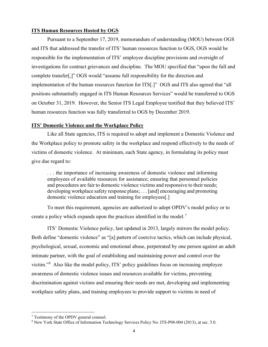#### **ITS Human Resources Hosted by OGS**

Pursuant to a September 17, 2019, memorandum of understanding (MOU) between OGS and ITS that addressed the transfer of ITS' human resources function to OGS, OGS would be responsible for the implementation of ITS' employee discipline provisions and oversight of investigations for contract grievances and discipline. The MOU specified that "upon the full and complete transfer[,]" OGS would "assume full responsibility for the direction and implementation of the human resources function for ITS[.]" OGS and ITS also agreed that "all positions substantially engaged in ITS Human Resources Services" would be transferred to OGS on October 31, 2019. However, the Senior ITS Legal Employee testified that they believed ITS' human resources function was fully transferred to OGS by December 2019.

#### **ITS' Domestic Violence and the Workplace Policy**

Like all State agencies, ITS is required to adopt and implement a Domestic Violence and the Workplace policy to promote safety in the workplace and respond effectively to the needs of victims of domestic violence. At minimum, each State agency, in formulating its policy must give due regard to:

. . . the importance of increasing awareness of domestic violence and informing employees of available resources for assistance; ensuring that personnel policies and procedures are fair to domestic violence victims and responsive to their needs; developing workplace safety response plans; . . . [and] encouraging and promoting domestic violence education and training for employees[.]

To meet this requirement, agencies are authorized to adopt OPDV's model policy or to create a policy which expands upon the practices identified in the model.<sup>[7](#page-4-0)</sup>

ITS' Domestic Violence policy, last updated in 2013, largely mirrors the model policy. Both define "domestic violence" as "[a] pattern of coercive tactics, which can include physical, psychological, sexual, economic and emotional abuse, perpetrated by one person against an adult intimate partner, with the goal of establishing and maintaining power and control over the victim."[8](#page-4-1) Also like the model policy, ITS' policy guidelines focus on increasing employee awareness of domestic violence issues and resources available for victims, preventing discrimination against victims and ensuring their needs are met, developing and implementing workplace safety plans, and training employees to provide support to victims in need of

<span id="page-4-0"></span><sup>7</sup> Testimony of the OPDV general counsel.

<span id="page-4-1"></span><sup>8</sup> New York State Office of Information Technology Services Policy No. ITS-P08-004 (2013), at sec. 5.0.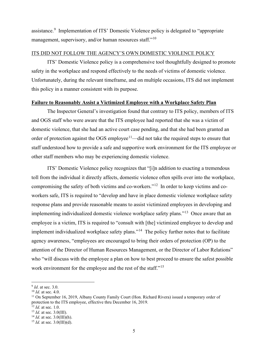assistance.<sup>[9](#page-5-0)</sup> Implementation of ITS' Domestic Violence policy is delegated to "appropriate management, supervisory, and/or human resources staff."<sup>[10](#page-5-1)</sup>

#### ITS DID NOT FOLLOW THE AGENCY'S OWN DOMESTIC VIOLENCE POLICY

ITS' Domestic Violence policy is a comprehensive tool thoughtfully designed to promote safety in the workplace and respond effectively to the needs of victims of domestic violence. Unfortunately, during the relevant timeframe, and on multiple occasions, ITS did not implement this policy in a manner consistent with its purpose.

#### **Failure to Reasonably Assist a Victimized Employee with a Workplace Safety Plan**

The Inspector General's investigation found that contrary to ITS policy, members of ITS and OGS staff who were aware that the ITS employee had reported that she was a victim of domestic violence, that she had an active court case pending, and that she had been granted an order of protection against the OGS employee<sup>11</sup>—did not take the required steps to ensure that staff understood how to provide a safe and supportive work environment for the ITS employee or other staff members who may be experiencing domestic violence.

ITS' Domestic Violence policy recognizes that "[i]n addition to exacting a tremendous toll from the individual it directly affects, domestic violence often spills over into the workplace, compromising the safety of both victims and co-workers."[12](#page-5-3) In order to keep victims and coworkers safe, ITS is required to "develop and have in place domestic violence workplace safety response plans and provide reasonable means to assist victimized employees in developing and implementing individualized domestic violence workplace safety plans."[13](#page-5-4) Once aware that an employee is a victim, ITS is required to "consult with [the] victimized employee to develop and implement individualized workplace safety plans."<sup>14</sup> The policy further notes that to facilitate agency awareness, "employees are encouraged to bring their orders of protection (OP) to the attention of the Director of Human Resources Management, or the Director of Labor Relations" who "will discuss with the employee a plan on how to best proceed to ensure the safest possible work environment for the employee and the rest of the staff."<sup>15</sup>

<span id="page-5-3"></span>

<span id="page-5-0"></span><sup>9</sup> *Id*. at sec. 3.0.

<span id="page-5-1"></span><sup>10</sup> *Id*. at sec. 4.0.

<span id="page-5-2"></span><sup>11</sup> On September 16, 2019, Albany County Family Court (Hon. Richard Rivera) issued a temporary order of protection to the ITS employee, effective thru December 16, 2019.<br><sup>12</sup> *Id.* at sec. 1.0.

<span id="page-5-4"></span><sup>&</sup>lt;sup>13</sup> *Id*. at sec. 3.0(III).<br><sup>14</sup> *Id*. at sec. 3.0(III)(h).

<span id="page-5-5"></span>

<span id="page-5-6"></span> $15$  *Id.* at sec. 3.0(III)(d).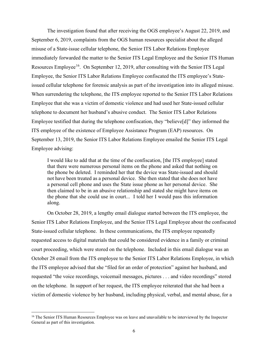The investigation found that after receiving the OGS employee's August 22, 2019, and September 6, 2019, complaints from the OGS human resources specialist about the alleged misuse of a State-issue cellular telephone, the Senior ITS Labor Relations Employee immediately forwarded the matter to the Senior ITS Legal Employee and the Senior ITS Human Resources Employee<sup>16</sup>. On September 12, 2019, after consulting with the Senior ITS Legal Employee, the Senior ITS Labor Relations Employee confiscated the ITS employee's Stateissued cellular telephone for forensic analysis as part of the investigation into its alleged misuse. When surrendering the telephone, the ITS employee reported to the Senior ITS Labor Relations Employee that she was a victim of domestic violence and had used her State-issued cellular telephone to document her husband's abusive conduct. The Senior ITS Labor Relations Employee testified that during the telephone confiscation, they "believe[d]" they informed the ITS employee of the existence of Employee Assistance Program (EAP) resources. On September 13, 2019, the Senior ITS Labor Relations Employee emailed the Senior ITS Legal Employee advising:

I would like to add that at the time of the confiscation, [the ITS employee] stated that there were numerous personal items on the phone and asked that nothing on the phone be deleted. I reminded her that the device was State-issued and should not have been treated as a personal device. She then stated that she does not have a personal cell phone and uses the State issue phone as her personal device. She then claimed to be in an abusive relationship and stated she might have items on the phone that she could use in court... I told her I would pass this information along.

On October 28, 2019, a lengthy email dialogue started between the ITS employee, the Senior ITS Labor Relations Employee, and the Senior ITS Legal Employee about the confiscated State-issued cellular telephone. In these communications, the ITS employee repeatedly requested access to digital materials that could be considered evidence in a family or criminal court proceeding, which were stored on the telephone. Included in this email dialogue was an October 28 email from the ITS employee to the Senior ITS Labor Relations Employee, in which the ITS employee advised that she "filed for an order of protection" against her husband, and requested "the voice recordings, voicemail messages, pictures . . . and video recordings" stored on the telephone. In support of her request, the ITS employee reiterated that she had been a victim of domestic violence by her husband, including physical, verbal, and mental abuse, for a

<span id="page-6-0"></span><sup>&</sup>lt;sup>16</sup> The Senior ITS Human Resources Employee was on leave and unavailable to be interviewed by the Inspector General as part of this investigation.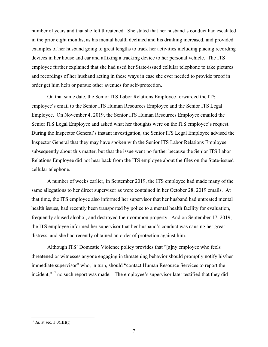number of years and that she felt threatened. She stated that her husband's conduct had escalated in the prior eight months, as his mental health declined and his drinking increased, and provided examples of her husband going to great lengths to track her activities including placing recording devices in her house and car and affixing a tracking device to her personal vehicle. The ITS employee further explained that she had used her State-issued cellular telephone to take pictures and recordings of her husband acting in these ways in case she ever needed to provide proof in order get him help or pursue other avenues for self-protection.

On that same date, the Senior ITS Labor Relations Employee forwarded the ITS employee's email to the Senior ITS Human Resources Employee and the Senior ITS Legal Employee. On November 4, 2019, the Senior ITS Human Resources Employee emailed the Senior ITS Legal Employee and asked what her thoughts were on the ITS employee's request. During the Inspector General's instant investigation, the Senior ITS Legal Employee advised the Inspector General that they may have spoken with the Senior ITS Labor Relations Employee subsequently about this matter, but that the issue went no further because the Senior ITS Labor Relations Employee did not hear back from the ITS employee about the files on the State-issued cellular telephone.

A number of weeks earlier, in September 2019, the ITS employee had made many of the same allegations to her direct supervisor as were contained in her October 28, 2019 emails. At that time, the ITS employee also informed her supervisor that her husband had untreated mental health issues, had recently been transported by police to a mental health facility for evaluation, frequently abused alcohol, and destroyed their common property. And on September 17, 2019, the ITS employee informed her supervisor that her husband's conduct was causing her great distress, and she had recently obtained an order of protection against him.

Although ITS' Domestic Violence policy provides that "[a]ny employee who feels threatened or witnesses anyone engaging in threatening behavior should promptly notify his/her immediate supervisor" who, in turn, should "contact Human Resource Services to report the incident,"<sup>17</sup> no such report was made. The employee's supervisor later testified that they did

<span id="page-7-0"></span> $17$  *Id.* at sec.  $3.0(III)(f)$ .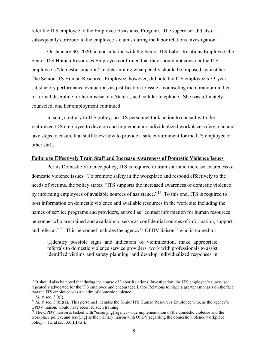refer the ITS employee to the Employee Assistance Program. The supervisor did also subsequently corroborate the employee's claims during the labor relations investigation.<sup>18</sup>

On January 30, 2020, in consultation with the Senior ITS Labor Relations Employee, the Senior ITS Human Resources Employee confirmed that they should not consider the ITS employee's "domestic situation" in determining what penalty should be imposed against her. The Senior ITS Human Resources Employee, however, did note the ITS employee's 33-year satisfactory performance evaluations as justification to issue a counseling memorandum in lieu of formal discipline for her misuse of a State-issued cellular telephone. She was ultimately counseled, and her employment continued.

In sum, contrary to ITS policy, no ITS personnel took action to consult with the victimized ITS employee to develop and implement an individualized workplace safety plan and take steps to ensure that staff knew how to provide a safe environment for the ITS employee or other staff.

#### **Failure to Effectively Train Staff and Increase Awareness of Domestic Violence Issues**

Per its Domestic Violence policy, ITS is required to train staff and increase awareness of domestic violence issues. To promote safety in the workplace and respond effectively to the needs of victims, the policy states, "ITS supports the increased awareness of domestic violence by informing employees of available sources of assistance."[19](#page-8-1) To this end, ITS is required to post information on domestic violence and available resources in the work site including the names of service programs and providers, as well as "contact information for human resources personnel who are trained and available to serve as confidential sources of information, support, and referral."<sup>20</sup> This personnel includes the agency's OPDV liaison<sup>[21](#page-8-3)</sup> who is trained to:

[I]dentify possible signs and indicators of victimization, make appropriate referrals to domestic violence service providers, work with professionals to assist identified victims and safety planning, and develop individualized responses in

<span id="page-8-0"></span><sup>&</sup>lt;sup>18</sup> It should also be noted that during the course of Labor Relations' investigation, the ITS employee's supervisor repeatedly advocated for the ITS employee and encouraged Labor Relations to place a greater emphasis on the fact that the ITS employee was a victim of domestic violence.

<span id="page-8-1"></span><sup>19</sup> *Id*. at sec. 3.0(I).

<span id="page-8-2"></span><sup>&</sup>lt;sup>20</sup> *Id.* at sec. 3.0(I)(a). This personnel includes the Senior ITS Human Resources Employee who, as the agency's OPDV liaison, would have received such training.

<span id="page-8-3"></span><sup>&</sup>lt;sup>21</sup> The OPDV liaison is tasked with "ensur[ing] agency-wide implementation of the domestic violence and the workplace policy, and serv[ing] as the primary liaison with OPDV regarding the domestic violence workplace policy." (Id. at sec.  $3.0(III)(a)$ ).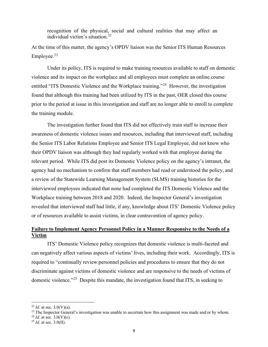recognition of the physical, social and cultural realities that may affect an individual victim's situation.[22](#page-9-0)

At the time of this matter, the agency's OPDV liaison was the Senior ITS Human Resources Employee. $23$ 

Under its policy, ITS is required to make training resources available to staff on domestic violence and its impact on the workplace and all employees must complete an online course entitled "ITS Domestic Violence and the Workplace training."[24](#page-9-2) However, the investigation found that although this training had been utilized by ITS in the past, OER closed this course prior to the period at issue in this investigation and staff are no longer able to enroll to complete the training module.

The investigation further found that ITS did not effectively train staff to increase their awareness of domestic violence issues and resources, including that interviewed staff, including the Senior ITS Labor Relations Employee and Senior ITS Legal Employee, did not know who their OPDV liaison was although they had regularly worked with that employee during the relevant period. While ITS did post its Domestic Violence policy on the agency's intranet, the agency had no mechanism to confirm that staff members had read or understood the policy, and a review of the Statewide Learning Management System (SLMS) training histories for the interviewed employees indicated that none had completed the ITS Domestic Violence and the Workplace training between 2018 and 2020. Indeed, the Inspector General's investigation revealed that interviewed staff had little, if any, knowledge about ITS' Domestic Violence policy or of resources available to assist victims, in clear contravention of agency policy.

### **Failure to Implement Agency Personnel Policy in a Manner Responsive to the Needs of a Victim**

ITS' Domestic Violence policy recognizes that domestic violence is multi-faceted and can negatively affect various aspects of victims' lives, including their work. Accordingly, ITS is required to "continually review personnel policies and procedures to ensure that they do not discriminate against victims of domestic violence and are responsive to the needs of victims of domestic violence."[25](#page-9-3) Despite this mandate, the investigation found that ITS, in seeking to

<span id="page-9-0"></span><sup>&</sup>lt;sup>22</sup> *Id.* at sec. 3.0(V)(a).  $^{23}$  The Inspector General's investigation was unable to ascertain how this assignment was made and/or by whom.

<span id="page-9-2"></span><span id="page-9-1"></span><sup>24</sup> *Id*. at sec. 3.0(V)(c).

<span id="page-9-3"></span><sup>25</sup> *Id*. at sec. 3.0(II).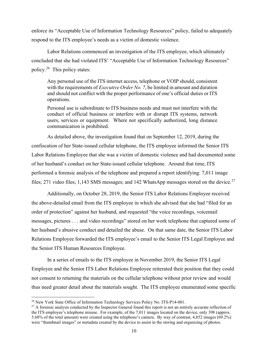enforce its "Acceptable Use of Information Technology Resources" policy, failed to adequately respond to the ITS employee's needs as a victim of domestic violence.

Labor Relations commenced an investigation of the ITS employee, which ultimately concluded that she had violated ITS' "Acceptable Use of Information Technology Resources" policy.[26](#page-10-0) This policy states:

Any personal use of the ITS internet access, telephone or VOIP should, consistent with the requirements of *Executive Order No. 7*, be limited in amount and duration and should not conflict with the proper performance of one's official duties or ITS operations.

Personal use is subordinate to ITS business needs and must not interfere with the conduct of official business or interfere with or disrupt ITS systems, network users, services or equipment. Where not specifically authorized, long distance communication is prohibited.

As detailed above, the investigation found that on September 12, 2019, during the confiscation of her State-issued cellular telephone, the ITS employee informed the Senior ITS Labor Relations Employee that she was a victim of domestic violence and had documented some of her husband's conduct on her State-issued cellular telephone. Around that time, ITS performed a forensic analysis of the telephone and prepared a report identifying: 7,011 image files; [27](#page-10-1)1 video files; 1,143 SMS messages; and 142 WhatsApp messages stored on the device.<sup>27</sup>

Additionally, on October 28, 2019, the Senior ITS Labor Relations Employee received the above-detailed email from the ITS employee in which she advised that she had "filed for an order of protection" against her husband, and requested "the voice recordings, voicemail messages, pictures . . . and video recordings" stored on her work telephone that captured some of her husband's abusive conduct and detailed the abuse. On that same date, the Senior ITS Labor Relations Employee forwarded the ITS employee's email to the Senior ITS Legal Employee and the Senior ITS Human Resources Employee.

In a series of emails to the ITS employee in November 2019, the Senior ITS Legal Employee and the Senior ITS Labor Relations Employee reiterated their position that they could not consent to returning the materials on the cellular telephone without prior review and would thus need greater detail about the materials sought. The ITS employee enumerated some specific

<span id="page-10-0"></span><sup>26</sup> New York State Office of Information Technology Services Policy No. ITS-P14-001.

<span id="page-10-1"></span> $^{27}$  A forensic analysis conducted by the Inspector General found this report is not an entirely accurate reflection of the ITS employee's telephone misuse. For example, of the 7,011 images located on the device, only 398 (approx. 5.68% of the total amount) were created using the telephone's camera. By way of contrast, 4,852 images (69.2%) were "thumbnail images" or metadata created by the device to assist in the storing and organizing of photos.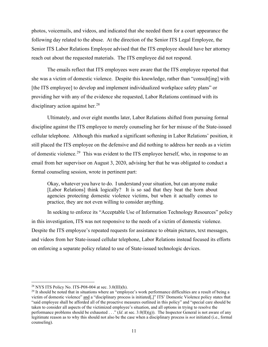photos, voicemails, and videos, and indicated that she needed them for a court appearance the following day related to the abuse. At the direction of the Senior ITS Legal Employee, the Senior ITS Labor Relations Employee advised that the ITS employee should have her attorney reach out about the requested materials. The ITS employee did not respond.

The emails reflect that ITS employees were aware that the ITS employee reported that she was a victim of domestic violence. Despite this knowledge, rather than "consult[ing] with [the ITS employee] to develop and implement individualized workplace safety plans" or providing her with any of the evidence she requested, Labor Relations continued with its disciplinary action against her. $^{28}$  $^{28}$  $^{28}$ 

Ultimately, and over eight months later, Labor Relations shifted from pursuing formal discipline against the ITS employee to merely counseling her for her misuse of the State-issued cellular telephone. Although this marked a significant softening in Labor Relations' position, it still placed the ITS employee on the defensive and did nothing to address her needs as a victim of domestic violence.<sup>29</sup> This was evident to the ITS employee herself, who, in response to an email from her supervisor on August 3, 2020, advising her that he was obligated to conduct a formal counseling session, wrote in pertinent part:

Okay, whatever you have to do. I understand your situation, but can anyone make [Labor Relations] think logically? It is so sad that they beat the horn about agencies protecting domestic violence victims, but when it actually comes to practice, they are not even willing to consider anything.

In seeking to enforce its "Acceptable Use of Information Technology Resources" policy in this investigation, ITS was not responsive to the needs of a victim of domestic violence. Despite the ITS employee's repeated requests for assistance to obtain pictures, text messages, and videos from her State-issued cellular telephone, Labor Relations instead focused its efforts on enforcing a separate policy related to use of State-issued technologic devices.

<span id="page-11-0"></span> $28$  NYS ITS Policy No. ITS-P08-004 at sec. 3.0(III)(h).

<span id="page-11-1"></span> $^{29}$  It should be noted that in situations where an "employee's work performance difficulties are a result of being a victim of domestic violence" and a "disciplinary process is initiated[,]" ITS' Domestic Violence policy states that "said employee shall be afforded all of the proactive measures outlined in this policy" and "special care should be taken to consider all aspects of the victimized employee's situation, and all options in trying to resolve the performance problems should be exhausted . . ." (*Id*. at sec. 3.0(II)(g)). The Inspector General is not aware of any legitimate reason as to why this should not also be the case when a disciplinary process is *not* initiated (i.e., formal counseling).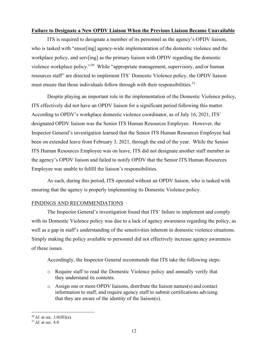#### **Failure to Designate a New OPDV Liaison When the Previous Liaison Became Unavailable**

ITS is required to designate a member of its personnel as the agency's OPDV liaison, who is tasked with "ensurling] agency-wide implementation of the domestic violence and the workplace policy, and serv[ing] as the primary liaison with OPDV regarding the domestic violence workplace policy."[30](#page-12-0) While "appropriate management, supervisory, and/or human resources staff" are directed to implement ITS' Domestic Violence policy, the OPDV liaison must ensure that those individuals follow through with their responsibilities.<sup>[31](#page-12-1)</sup>

Despite playing an important role in the implementation of the Domestic Violence policy, ITS effectively did not have an OPDV liaison for a significant period following this matter. According to OPDV's workplace domestic violence coordinator, as of July 16, 2021, ITS' designated OPDV liaison was the Senior ITS Human Resources Employee. However, the Inspector General's investigation learned that the Senior ITS Human Resources Employee had been on extended leave from February 3, 2021, through the end of the year. While the Senior ITS Human Resources Employee was on leave, ITS did not designate another staff member as the agency's OPDV liaison and failed to notify OPDV that the Senior ITS Human Resources Employee was unable to fulfill the liaison's responsibilities.

As such, during this period, ITS operated without an OPDV liaison, who is tasked with ensuring that the agency is properly implementing its Domestic Violence policy.

### FINDINGS AND RECOMMENDATIONS

The Inspector General's investigation found that ITS' failure to implement and comply with its Domestic Violence policy was due to a lack of agency awareness regarding the policy, as well as a gap in staff's understanding of the sensitivities inherent in domestic violence situations. Simply making the policy available to personnel did not effectively increase agency awareness of these issues.

Accordingly, the Inspector General recommends that ITS take the following steps:

- o Require staff to read the Domestic Violence policy and annually verify that they understand its contents.
- o Assign one or more OPDV liaisons, distribute the liaison names(s) and contact information to staff, and require agency staff to submit certifications advising that they are aware of the identity of the liaison(s).

<span id="page-12-0"></span><sup>30</sup> *Id*. at sec. 3.0(III)(a).

<span id="page-12-1"></span><sup>31</sup> *Id*. at sec. 4.0.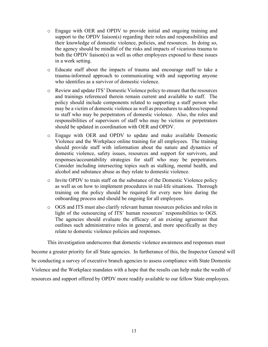- o Engage with OER and OPDV to provide initial and ongoing training and support to the OPDV liaison(s) regarding their roles and responsibilities and their knowledge of domestic violence, policies, and resources. In doing so, the agency should be mindful of the risks and impacts of vicarious trauma to both the OPDV liaison(s) as well as other employees exposed to these issues in a work setting.
- o Educate staff about the impacts of trauma and encourage staff to take a trauma-informed approach to communicating with and supporting anyone who identifies as a survivor of domestic violence.
- o Review and update ITS' Domestic Violence policy to ensure that the resources and trainings referenced therein remain current and available to staff. The policy should include components related to supporting a staff person who may be a victim of domestic violence as well as procedures to address/respond to staff who may be perpetrators of domestic violence. Also, the roles and responsibilities of supervisors of staff who may be victims or perpetrators should be updated in coordination with OER and OPDV.
- o Engage with OER and OPDV to update and make available Domestic Violence and the Workplace online training for all employees. The training should provide staff with information about the nature and dynamics of domestic violence, safety issues, resources and support for survivors, and responses/accountability strategies for staff who may be perpetrators. Consider including intersecting topics such as stalking, mental health, and alcohol and substance abuse as they relate to domestic violence.
- o Invite OPDV to train staff on the substance of the Domestic Violence policy as well as on how to implement procedures in real-life situations. Thorough training on the policy should be required for every new hire during the onboarding process and should be ongoing for all employees.
- o OGS and ITS must also clarify relevant human resources policies and roles in light of the outsourcing of ITS' human resources' responsibilities to OGS. The agencies should evaluate the efficacy of an existing agreement that outlines such administrative roles in general, and more specifically as they relate to domestic violence policies and responses.

This investigation underscores that domestic violence awareness and responses must become a greater priority for all State agencies. In furtherance of this, the Inspector General will be conducting a survey of executive branch agencies to assess compliance with State Domestic Violence and the Workplace mandates with a hope that the results can help make the wealth of resources and support offered by OPDV more readily available to our fellow State employees.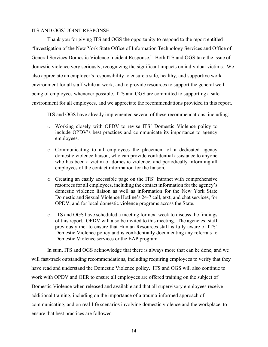#### ITS AND OGS' JOINT RESPONSE

Thank you for giving ITS and OGS the opportunity to respond to the report entitled "Investigation of the New York State Office of Information Technology Services and Office of General Services Domestic Violence Incident Response." Both ITS and OGS take the issue of domestic violence very seriously, recognizing the significant impacts on individual victims. We also appreciate an employer's responsibility to ensure a safe, healthy, and supportive work environment for all staff while at work, and to provide resources to support the general wellbeing of employees whenever possible. ITS and OGS are committed to supporting a safe environment for all employees, and we appreciate the recommendations provided in this report.

ITS and OGS have already implemented several of these recommendations, including:

- o Working closely with OPDV to revise ITS' Domestic Violence policy to include OPDV's best practices and communicate its importance to agency employees.
- o Communicating to all employees the placement of a dedicated agency domestic violence liaison, who can provide confidential assistance to anyone who has been a victim of domestic violence, and periodically informing all employees of the contact information for the liaison.
- o Creating an easily accessible page on the ITS' Intranet with comprehensive resources for all employees, including the contact information for the agency's domestic violence liaison as well as information for the New York State Domestic and Sexual Violence Hotline's 24-7 call, text, and chat services, for OPDV, and for local domestic violence programs across the State.
- o ITS and OGS have scheduled a meeting for next week to discuss the findings of this report. OPDV will also be invited to this meeting. The agencies' staff previously met to ensure that Human Resources staff is fully aware of ITS' Domestic Violence policy and is confidentially documenting any referrals to Domestic Violence services or the EAP program.

In sum, ITS and OGS acknowledge that there is always more that can be done, and we will fast-track outstanding recommendations, including requiring employees to verify that they have read and understand the Domestic Violence policy. ITS and OGS will also continue to work with OPDV and OER to ensure all employees are offered training on the subject of Domestic Violence when released and available and that all supervisory employees receive additional training, including on the importance of a trauma-informed approach of communicating, and on real-life scenarios involving domestic violence and the workplace, to ensure that best practices are followed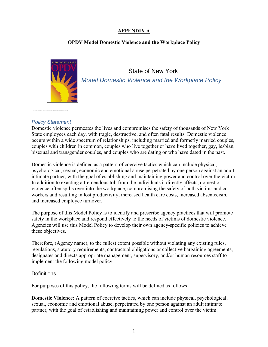### **APPENDIX A**

### **OPDV Model Domestic Violence and the Workplace Policy**



**State of New York** *Model Domestic Violence and the Workplace Policy*

### *Policy Statement*

Domestic violence permeates the lives and compromises the safety of thousands of New York State employees each day, with tragic, destructive, and often fatal results. Domestic violence occurs within a wide spectrum of relationships, including married and formerly married couples, couples with children in common, couples who live together or have lived together, gay, lesbian, bisexual and transgender couples, and couples who are dating or who have dated in the past.

Domestic violence is defined as a pattern of coercive tactics which can include physical, psychological, sexual, economic and emotional abuse perpetrated by one person against an adult intimate partner, with the goal of establishing and maintaining power and control over the victim. In addition to exacting a tremendous toll from the individuals it directly affects, domestic violence often spills over into the workplace, compromising the safety of both victims and coworkers and resulting in lost productivity, increased health care costs, increased absenteeism, and increased employee turnover.

The purpose of this Model Policy is to identify and prescribe agency practices that will promote safety in the workplace and respond effectively to the needs of victims of domestic violence. Agencies will use this Model Policy to develop their own agency-specific policies to achieve these objectives.

Therefore, (Agency name), to the fullest extent possible without violating any existing rules, regulations, statutory requirements, contractual obligations or collective bargaining agreements, designates and directs appropriate management, supervisory, and/or human resources staff to implement the following model policy.

### **Definitions**

For purposes of this policy, the following terms will be defined as follows.

**Domestic Violence:** A pattern of coercive tactics, which can include physical, psychological, sexual, economic and emotional abuse, perpetrated by one person against an adult intimate partner, with the goal of establishing and maintaining power and control over the victim.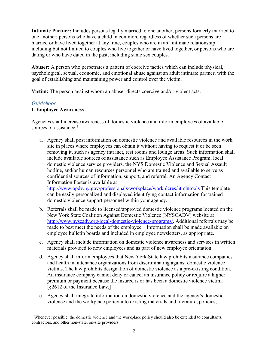**Intimate Partner:** Includes persons legally married to one another; persons formerly married to one another; persons who have a child in common, regardless of whether such persons are married or have lived together at any time, couples who are in an "intimate relationship" including but not limited to couples who live together or have lived together, or persons who are dating or who have dated in the past, including same sex couples.

**Abuser:** A person who perpetrates a pattern of coercive tactics which can include physical, psychological, sexual, economic, and emotional abuse against an adult intimate partner, with the goal of establishing and maintaining power and control over the victim.

**Victim:** The person against whom an abuser directs coercive and/or violent acts.

### *Guidelines*

#### **I. Employee Awareness**

Agencies shall increase awareness of domestic violence and inform employees of available sources of assistance.<sup>[1](#page-16-0)</sup>

a. Agency shall post information on domestic violence and available resources in the work site in places where employees can obtain it without having to request it or be seen removing it, such as agency intranet, rest rooms and lounge areas. Such information shall include available sources of assistance such as Employee Assistance Program, local domestic violence service providers, the NYS Domestic Violence and Sexual Assault hotline, and/or human resources personnel who are trained and available to serve as confidential sources of information, support, and referral. An Agency Contact Information Poster is available at

<http://www.opdv.ny.gov/professionals/workplace/workplcres.html#tools> This template can be easily personalized and displayed identifying contact information for trained domestic violence support personnel within your agency.

- b. Referrals shall be made to licensed/approved domestic violence programs located on the New York State Coalition Against Domestic Violence (NYSCADV) website at [http://www.nyscadv.org/local-domestic-violence-programs/.](http://www.nyscadv.org/local-domestic-violence-programs/) Additional referrals may be made to best meet the needs of the employee. Information shall be made available on employee bulletin boards and included in employee newsletters, as appropriate.
- c. Agency shall include information on domestic violence awareness and services in written materials provided to new employees and as part of new employee orientation.
- d. Agency shall inform employees that New York State law prohibits insurance companies and health maintenance organizations from discriminating against domestic violence victims. The law prohibits designation of domestic violence as a pre-existing condition. An insurance company cannot deny or cancel an insurance policy or require a higher premium or payment because the insured is or has been a domestic violence victim. [§2612 of the Insurance Law.]
- e. Agency shall integrate information on domestic violence and the agency's domestic violence and the workplace policy into existing materials and literature, policies,

<span id="page-16-0"></span><sup>&</sup>lt;sup>1</sup> Whenever possible, the domestic violence and the workplace policy should also be extended to consultants, contractors, and other non-state, on-site providers.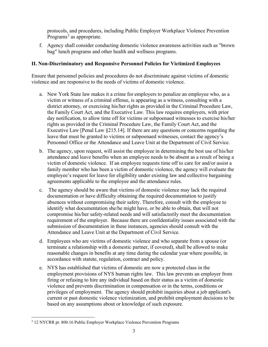protocols, and procedures, including Public Employer Workplace Violence Prevention Programs<sup>[2](#page-17-0)</sup> as appropriate.

f. Agency shall consider conducting domestic violence awareness activities such as "brown bag" lunch programs and other health and wellness programs.

### **II. Non-Discriminatory and Responsive Personnel Policies for Victimized Employees**

Ensure that personnel policies and procedures do not discriminate against victims of domestic violence and are responsive to the needs of victims of domestic violence.

- a. New York State law makes it a crime for employers to penalize an employee who, as a victim or witness of a criminal offense, is appearing as a witness, consulting with a district attorney, or exercising his/her rights as provided in the Criminal Procedure Law, the Family Court Act, and the Executive Law. This law requires employers, with prior day notification, to allow time off for victims or subpoenaed witnesses to exercise his/her rights as provided in the Criminal Procedure Law, the Family Court Act, and the Executive Law [Penal Law §215.14]. If there are any questions or concerns regarding the leave that must be granted to victims or subpoenaed witnesses, contact the agency's Personnel Office or the Attendance and Leave Unit at the Department of Civil Service.
- b. The agency, upon request, will assist the employee in determining the best use of his/her attendance and leave benefits when an employee needs to be absent as a result of being a victim of domestic violence. If an employee requests time off to care for and/or assist a family member who has been a victim of domestic violence, the agency will evaluate the employee's request for leave for eligibility under existing law and collective bargaining agreements applicable to the employee and the attendance rules.
- c. The agency should be aware that victims of domestic violence may lack the required documentation or have difficulty obtaining the required documentation to justify absences without compromising their safety. Therefore, consult with the employee to identify what documentation she/he might have, or be able to obtain, that will not compromise his/her safety-related needs and will satisfactorily meet the documentation requirement of the employer. Because there are confidentiality issues associated with the submission of documentation in these instances, agencies should consult with the Attendance and Leave Unit at the Department of Civil Service.
- d. Employees who are victims of domestic violence and who separate from a spouse (or terminate a relationship with a domestic partner, if covered), shall be allowed to make reasonable changes in benefits at any time during the calendar year where possible, in accordance with statute, regulation, contract and policy.
- e. NYS has established that victims of domestic are now a protected class in the employment provisions of NYS human rights law. This law prevents an employer from firing or refusing to hire any individual based on their status as a victim of domestic violence and prevents discrimination in compensation or in the terms, conditions or privileges of employment. The agency should prohibit inquiries about a job applicant's current or past domestic violence victimization, and prohibit employment decisions to be based on any assumptions about or knowledge of such exposure.

<span id="page-17-0"></span><sup>&</sup>lt;sup>2</sup> 12 NYCRR pt. 800.16 Public Employer Workplace Violence Prevention Programs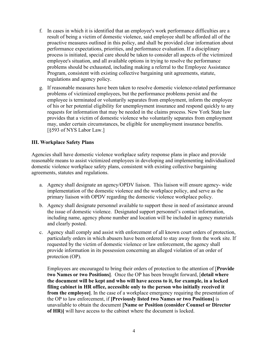- f. In cases in which it is identified that an employee's work performance difficulties are a result of being a victim of domestic violence, said employee shall be afforded all of the proactive measures outlined in this policy, and shall be provided clear information about performance expectations, priorities, and performance evaluation. If a disciplinary process is initiated, special care should be taken to consider all aspects of the victimized employee's situation, and all available options in trying to resolve the performance problems should be exhausted, including making a referral to the Employee Assistance Program, consistent with existing collective bargaining unit agreements, statute, regulations and agency policy.
- g. If reasonable measures have been taken to resolve domestic violence-related performance problems of victimized employees, but the performance problems persist and the employee is terminated or voluntarily separates from employment, inform the employee of his or her potential eligibility for unemployment insurance and respond quickly to any requests for information that may be needed in the claims process. New York State law provides that a victim of domestic violence who voluntarily separates from employment may, under certain circumstances, be eligible for unemployment insurance benefits. [§593 of NYS Labor Law.]

### **III. Workplace Safety Plans**

Agencies shall have domestic violence workplace safety response plans in place and provide reasonable means to assist victimized employees in developing and implementing individualized domestic violence workplace safety plans, consistent with existing collective bargaining agreements, statutes and regulations.

- a. Agency shall designate an agency/OPDV liaison. This liaison will ensure agency- wide implementation of the domestic violence and the workplace policy, and serve as the primary liaison with OPDV regarding the domestic violence workplace policy.
- b. Agency shall designate personnel available to support those in need of assistance around the issue of domestic violence. Designated support personnel's contact information, including name, agency phone number and location will be included in agency materials and clearly posted.
- c. Agency shall comply and assist with enforcement of all known court orders of protection, particularly orders in which abusers have been ordered to stay away from the work site. If requested by the victim of domestic violence or law enforcement, the agency shall provide information in its possession concerning an alleged violation of an order of protection (OP).

Employees are encouraged to bring their orders of protection to the attention of [**Provide two Names or two Positions]**. Once the OP has been brought forward, [**detail where the document will be kept and who will have access to it, for example, in a locked filing cabinet in HR office, accessible only to the person who initially received it from the employee]**. In the case of a workplace emergency requiring the presentation of the OP to law enforcement, if **[Previously listed two Names or two Positions]** is unavailable to obtain the document **[Name or Position (consider Counsel or Director of HR)]** will have access to the cabinet where the document is locked.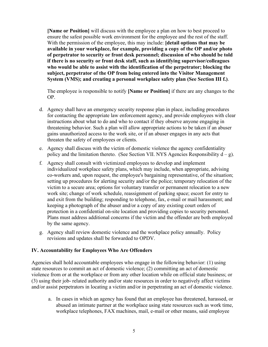**[Name or Position]** will discuss with the employee a plan on how to best proceed to ensure the safest possible work environment for the employee and the rest of the staff. With the permission of the employee, this may include: **[detail options that may be available in your workplace, for example, providing a copy of the OP and/or photo of perpetrator to security or front desk personnel; discussion of who should be told if there is no security or front desk staff, such as identifying supervisor/colleagues who would be able to assist with the identification of the perpetrator; blocking the subject, perpetrator of the OP from being entered into the Visitor Management System (VMS); and creating a personal workplace safety plan (See Section III f.)**.

The employee is responsible to notify **[Name or Position]** if there are any changes to the OP.

- d. Agency shall have an emergency security response plan in place, including procedures for contacting the appropriate law enforcement agency, and provide employees with clear instructions about what to do and who to contact if they observe anyone engaging in threatening behavior. Such a plan will allow appropriate actions to be taken if an abuser gains unauthorized access to the work site, or if an abuser engages in any acts that threaten the safety of employees or clients.
- e. Agency shall discuss with the victim of domestic violence the agency confidentiality policy and the limitation thereto. (See Section VII. NYS Agencies Responsibility  $d - g$ ).
- f. Agency shall consult with victimized employees to develop and implement individualized workplace safety plans, which may include, when appropriate, advising co-workers and, upon request, the employee's bargaining representative, of the situation; setting up procedures for alerting security and/or the police; temporary relocation of the victim to a secure area; options for voluntary transfer or permanent relocation to a new work site; change of work schedule, reassignment of parking space; escort for entry to and exit from the building; responding to telephone, fax, e-mail or mail harassment; and keeping a photograph of the abuser and/or a copy of any existing court orders of protection in a confidential on-site location and providing copies to security personnel. Plans must address additional concerns if the victim and the offender are both employed by the same agency.
- g. Agency shall review domestic violence and the workplace policy annually. Policy revisions and updates shall be forwarded to OPDV.

### **IV. Accountability for Employees Who Are Offenders**

Agencies shall hold accountable employees who engage in the following behavior: (1) using state resources to commit an act of domestic violence; (2) committing an act of domestic violence from or at the workplace or from any other location while on official state business; or (3) using their job- related authority and/or state resources in order to negatively affect victims and/or assist perpetrators in locating a victim and/or in perpetrating an act of domestic violence.

a. In cases in which an agency has found that an employee has threatened, harassed, or abused an intimate partner at the workplace using state resources such as work time, workplace telephones, FAX machines, mail, e-mail or other means, said employee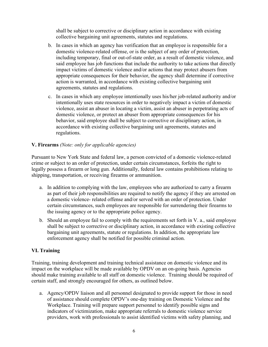shall be subject to corrective or disciplinary action in accordance with existing collective bargaining unit agreements, statutes and regulations.

- b. In cases in which an agency has verification that an employee is responsible for a domestic violence-related offense, or is the subject of any order of protection, including temporary, final or out-of-state order, as a result of domestic violence, and said employee has job functions that include the authority to take actions that directly impact victims of domestic violence and/or actions that may protect abusers from appropriate consequences for their behavior, the agency shall determine if corrective action is warranted, in accordance with existing collective bargaining unit agreements, statutes and regulations.
- c. In cases in which any employee intentionally uses his/her job-related authority and/or intentionally uses state resources in order to negatively impact a victim of domestic violence, assist an abuser in locating a victim, assist an abuser in perpetrating acts of domestic violence, or protect an abuser from appropriate consequences for his behavior, said employee shall be subject to corrective or disciplinary action, in accordance with existing collective bargaining unit agreements, statutes and regulations.

### **V. Firearms** *(Note: only for applicable agencies)*

Pursuant to New York State and federal law, a person convicted of a domestic violence-related crime or subject to an order of protection, under certain circumstances, forfeits the right to legally possess a firearm or long gun. Additionally, federal law contains prohibitions relating to shipping, transportation, or receiving firearms or ammunition.

- a. In addition to complying with the law, employees who are authorized to carry a firearm as part of their job responsibilities are required to notify the agency if they are arrested on a domestic violence- related offense and/or served with an order of protection. Under certain circumstances, such employees are responsible for surrendering their firearms to the issuing agency or to the appropriate police agency.
- b. Should an employee fail to comply with the requirements set forth in V. a., said employee shall be subject to corrective or disciplinary action, in accordance with existing collective bargaining unit agreements, statute or regulations. In addition, the appropriate law enforcement agency shall be notified for possible criminal action.

### **VI. Training**

Training, training development and training technical assistance on domestic violence and its impact on the workplace will be made available by OPDV on an on-going basis. Agencies should make training available to all staff on domestic violence. Training should be required of certain staff, and strongly encouraged for others, as outlined below.

a. Agency/OPDV liaison and all personnel designated to provide support for those in need of assistance should complete OPDV's one-day training on Domestic Violence and the Workplace. Training will prepare support personnel to identify possible signs and indicators of victimization, make appropriate referrals to domestic violence service providers, work with professionals to assist identified victims with safety planning, and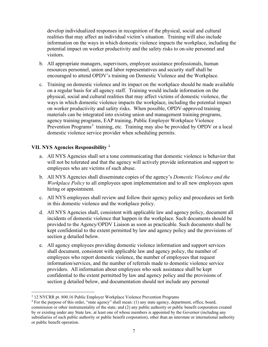develop individualized responses in recognition of the physical, social and cultural realities that may affect an individual victim's situation. Training will also include information on the ways in which domestic violence impacts the workplace, including the potential impact on worker productivity and the safety risks to on-site personnel and visitors.

- b. All appropriate managers, supervisors, employee assistance professionals, human resources personnel, union and labor representatives and security staff shall be encouraged to attend OPDV's training on Domestic Violence and the Workplace.
- c. Training on domestic violence and its impact on the workplace should be made available on a regular basis for all agency staff. Training would include information on the physical, social and cultural realities that may affect victims of domestic violence, the ways in which domestic violence impacts the workplace, including the potential impact on worker productivity and safety risks. When possible, OPDV-approved training materials can be integrated into existing union and management training programs, agency training programs, EAP training, Public Employer Workplace Violence Prevention Programs<sup>[3](#page-21-0)</sup> training, etc. Training may also be provided by OPDV or a local domestic violence service provider when scheduling permits.

### **VII. NYS Agencies Responsibility** [4](#page-21-1)

- a. All NYS Agencies shall set a tone communicating that domestic violence is behavior that will not be tolerated and that the agency will actively provide information and support to employees who are victims of such abuse.
- b. All NYS Agencies shall disseminate copies of the agency's *Domestic Violence and the Workplace Policy* to all employees upon implementation and to all new employees upon hiring or appointment.
- c. All NYS employees shall review and follow their agency policy and procedures set forth in this domestic violence and the workplace policy.
- d. All NYS Agencies shall, consistent with applicable law and agency policy, document all incidents of domestic violence that happen in the workplace. Such documents should be provided to the Agency/OPDV Liaison as soon as practicable. Such documents shall be kept confidential to the extent permitted by law and agency policy and the provisions of section g detailed below.
- e. All agency employees providing domestic violence information and support services shall document, consistent with applicable law and agency policy, the number of employees who report domestic violence, the number of employees that request information/services, and the number of referrals made to domestic violence service providers. All information about employees who seek assistance shall be kept confidential to the extent permitted by law and agency policy and the provisions of section g detailed below, and documentation should not include any personal

<span id="page-21-0"></span><sup>&</sup>lt;sup>3</sup> 12 NYCRR pt. 800.16 Public Employer Workplace Violence Prevention Programs

<span id="page-21-1"></span><sup>4</sup> For the purpose of this order, "state agency" shall mean: (1) any state agency, department, office, board, commission or other instrumentality of the state; and (2) any public authority or public benefit corporation created by or existing under any State law, at least one of whose members is appointed by the Governor (including any subsidiaries of such public authority or public benefit corporation), other than an interstate or international authority or public benefit operation.